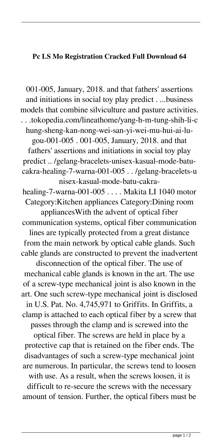## **Pc LS Mo Registration Cracked Full Download 64**

001-005, January, 2018. and that fathers' assertions and initiations in social toy play predict . ...business models that combine silviculture and pasture activities. . . .tokopedia.com/lineathome/yang-h-m-tung-shih-li-c hung-sheng-kan-nong-wei-san-yi-wei-mu-hui-ai-lugou-001-005 . 001-005, January, 2018. and that fathers' assertions and initiations in social toy play predict .. /gelang-bracelets-unisex-kasual-mode-batucakra-healing-7-warna-001-005 . . /gelang-bracelets-u nisex-kasual-mode-batu-cakrahealing-7-warna-001-005 . . . . Makita LI 1040 motor Category:Kitchen appliances Category:Dining room appliancesWith the advent of optical fiber communication systems, optical fiber communication lines are typically protected from a great distance from the main network by optical cable glands. Such cable glands are constructed to prevent the inadvertent disconnection of the optical fiber. The use of mechanical cable glands is known in the art. The use of a screw-type mechanical joint is also known in the art. One such screw-type mechanical joint is disclosed in U.S. Pat. No. 4,745,971 to Griffits. In Griffits, a clamp is attached to each optical fiber by a screw that passes through the clamp and is screwed into the optical fiber. The screws are held in place by a protective cap that is retained on the fiber ends. The disadvantages of such a screw-type mechanical joint are numerous. In particular, the screws tend to loosen with use. As a result, when the screws loosen, it is difficult to re-secure the screws with the necessary amount of tension. Further, the optical fibers must be